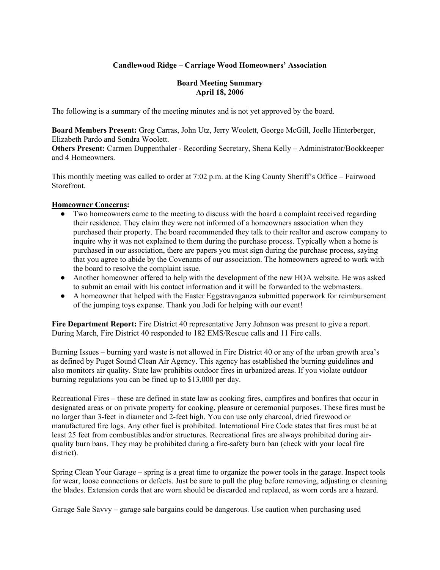## **Candlewood Ridge – Carriage Wood Homeowners' Association**

#### **Board Meeting Summary April 18, 2006**

The following is a summary of the meeting minutes and is not yet approved by the board.

**Board Members Present:** Greg Carras, John Utz, Jerry Woolett, George McGill, Joelle Hinterberger, Elizabeth Pardo and Sondra Woolett.

**Others Present:** Carmen Duppenthaler - Recording Secretary, Shena Kelly – Administrator/Bookkeeper and 4 Homeowners.

This monthly meeting was called to order at 7:02 p.m. at the King County Sheriff's Office – Fairwood Storefront.

#### **Homeowner Concerns:**

- Two homeowners came to the meeting to discuss with the board a complaint received regarding their residence. They claim they were not informed of a homeowners association when they purchased their property. The board recommended they talk to their realtor and escrow company to inquire why it was not explained to them during the purchase process. Typically when a home is purchased in our association, there are papers you must sign during the purchase process, saying that you agree to abide by the Covenants of our association. The homeowners agreed to work with the board to resolve the complaint issue.
- Another homeowner offered to help with the development of the new HOA website. He was asked to submit an email with his contact information and it will be forwarded to the webmasters.
- A homeowner that helped with the Easter Eggstravaganza submitted paperwork for reimbursement of the jumping toys expense. Thank you Jodi for helping with our event!

**Fire Department Report:** Fire District 40 representative Jerry Johnson was present to give a report. During March, Fire District 40 responded to 182 EMS/Rescue calls and 11 Fire calls.

Burning Issues – burning yard waste is not allowed in Fire District 40 or any of the urban growth area's as defined by Puget Sound Clean Air Agency. This agency has established the burning guidelines and also monitors air quality. State law prohibits outdoor fires in urbanized areas. If you violate outdoor burning regulations you can be fined up to \$13,000 per day.

Recreational Fires – these are defined in state law as cooking fires, campfires and bonfires that occur in designated areas or on private property for cooking, pleasure or ceremonial purposes. These fires must be no larger than 3-feet in diameter and 2-feet high. You can use only charcoal, dried firewood or manufactured fire logs. Any other fuel is prohibited. International Fire Code states that fires must be at least 25 feet from combustibles and/or structures. Recreational fires are always prohibited during airquality burn bans. They may be prohibited during a fire-safety burn ban (check with your local fire district).

Spring Clean Your Garage – spring is a great time to organize the power tools in the garage. Inspect tools for wear, loose connections or defects. Just be sure to pull the plug before removing, adjusting or cleaning the blades. Extension cords that are worn should be discarded and replaced, as worn cords are a hazard.

Garage Sale Savvy – garage sale bargains could be dangerous. Use caution when purchasing used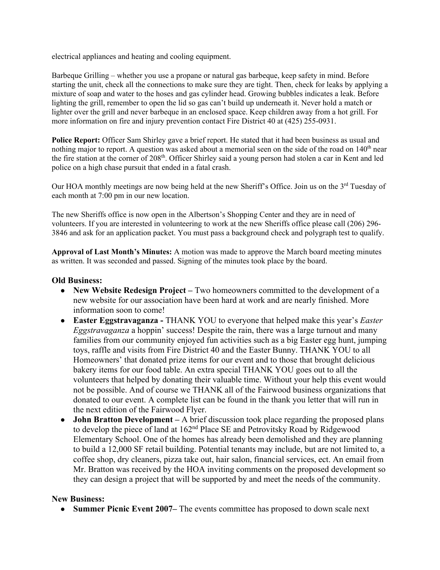electrical appliances and heating and cooling equipment.

Barbeque Grilling – whether you use a propane or natural gas barbeque, keep safety in mind. Before starting the unit, check all the connections to make sure they are tight. Then, check for leaks by applying a mixture of soap and water to the hoses and gas cylinder head. Growing bubbles indicates a leak. Before lighting the grill, remember to open the lid so gas can't build up underneath it. Never hold a match or lighter over the grill and never barbeque in an enclosed space. Keep children away from a hot grill. For more information on fire and injury prevention contact Fire District 40 at (425) 255-0931.

**Police Report:** Officer Sam Shirley gave a brief report. He stated that it had been business as usual and nothing major to report. A question was asked about a memorial seen on the side of the road on  $140<sup>th</sup>$  near the fire station at the corner of 208<sup>th</sup>. Officer Shirley said a young person had stolen a car in Kent and led police on a high chase pursuit that ended in a fatal crash.

Our HOA monthly meetings are now being held at the new Sheriff's Office. Join us on the 3<sup>rd</sup> Tuesday of each month at 7:00 pm in our new location.

The new Sheriffs office is now open in the Albertson's Shopping Center and they are in need of volunteers. If you are interested in volunteering to work at the new Sheriffs office please call (206) 296- 3846 and ask for an application packet. You must pass a background check and polygraph test to qualify.

**Approval of Last Month's Minutes:** A motion was made to approve the March board meeting minutes as written. It was seconded and passed. Signing of the minutes took place by the board.

## **Old Business:**

- **New Website Redesign Project** Two homeowners committed to the development of a new website for our association have been hard at work and are nearly finished. More information soon to come!
- **Easter Eggstravaganza** THANK YOU to everyone that helped make this year's *Easter Eggstravaganza* a hoppin' success! Despite the rain, there was a large turnout and many families from our community enjoyed fun activities such as a big Easter egg hunt, jumping toys, raffle and visits from Fire District 40 and the Easter Bunny. THANK YOU to all Homeowners' that donated prize items for our event and to those that brought delicious bakery items for our food table. An extra special THANK YOU goes out to all the volunteers that helped by donating their valuable time. Without your help this event would not be possible. And of course we THANK all of the Fairwood business organizations that donated to our event. A complete list can be found in the thank you letter that will run in the next edition of the Fairwood Flyer.
- **John Bratton Development** A brief discussion took place regarding the proposed plans to develop the piece of land at 162<sup>nd</sup> Place SE and Petrovitsky Road by Ridgewood Elementary School. One of the homes has already been demolished and they are planning to build a 12,000 SF retail building. Potential tenants may include, but are not limited to, a coffee shop, dry cleaners, pizza take out, hair salon, financial services, ect. An email from Mr. Bratton was received by the HOA inviting comments on the proposed development so they can design a project that will be supported by and meet the needs of the community.

## **New Business:**

● **Summer Picnic Event 2007–** The events committee has proposed to down scale next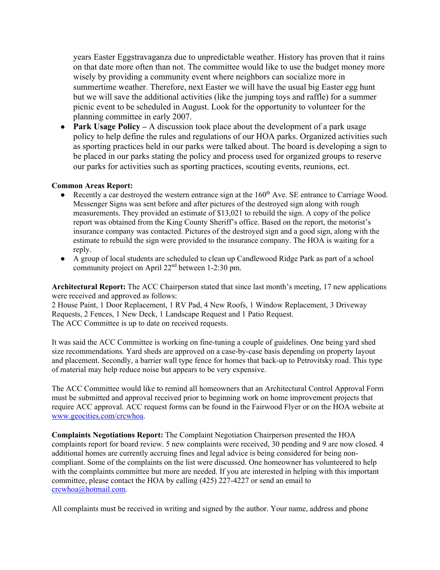years Easter Eggstravaganza due to unpredictable weather. History has proven that it rains on that date more often than not. The committee would like to use the budget money more wisely by providing a community event where neighbors can socialize more in summertime weather. Therefore, next Easter we will have the usual big Easter egg hunt but we will save the additional activities (like the jumping toys and raffle) for a summer picnic event to be scheduled in August. Look for the opportunity to volunteer for the planning committee in early 2007.

• **Park Usage Policy** – A discussion took place about the development of a park usage policy to help define the rules and regulations of our HOA parks. Organized activities such as sporting practices held in our parks were talked about. The board is developing a sign to be placed in our parks stating the policy and process used for organized groups to reserve our parks for activities such as sporting practices, scouting events, reunions, ect.

#### **Common Areas Report:**

- Recently a car destroyed the western entrance sign at the 160<sup>th</sup> Ave. SE entrance to Carriage Wood. Messenger Signs was sent before and after pictures of the destroyed sign along with rough measurements. They provided an estimate of \$13,021 to rebuild the sign. A copy of the police report was obtained from the King County Sheriff's office. Based on the report, the motorist's insurance company was contacted. Pictures of the destroyed sign and a good sign, along with the estimate to rebuild the sign were provided to the insurance company. The HOA is waiting for a reply.
- A group of local students are scheduled to clean up Candlewood Ridge Park as part of a school community project on April 22nd between 1-2:30 pm.

**Architectural Report:** The ACC Chairperson stated that since last month's meeting, 17 new applications were received and approved as follows:

2 House Paint, 1 Door Replacement, 1 RV Pad, 4 New Roofs, 1 Window Replacement, 3 Driveway Requests, 2 Fences, 1 New Deck, 1 Landscape Request and 1 Patio Request. The ACC Committee is up to date on received requests.

It was said the ACC Committee is working on fine-tuning a couple of guidelines. One being yard shed size recommendations. Yard sheds are approved on a case-by-case basis depending on property layout and placement. Secondly, a barrier wall type fence for homes that back-up to Petrovitsky road. This type of material may help reduce noise but appears to be very expensive.

The ACC Committee would like to remind all homeowners that an Architectural Control Approval Form must be submitted and approval received prior to beginning work on home improvement projects that require ACC approval. ACC request forms can be found in the Fairwood Flyer or on the HOA website at www.geocities.com/crcwhoa.

**Complaints Negotiations Report:** The Complaint Negotiation Chairperson presented the HOA complaints report for board review. 5 new complaints were received, 30 pending and 9 are now closed. 4 additional homes are currently accruing fines and legal advice is being considered for being noncompliant. Some of the complaints on the list were discussed. One homeowner has volunteered to help with the complaints committee but more are needed. If you are interested in helping with this important committee, please contact the HOA by calling (425) 227-4227 or send an email to crcwhoa@hotmail.com.

All complaints must be received in writing and signed by the author. Your name, address and phone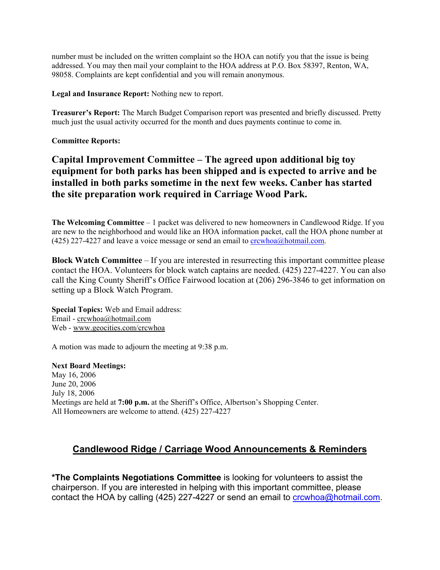number must be included on the written complaint so the HOA can notify you that the issue is being addressed. You may then mail your complaint to the HOA address at P.O. Box 58397, Renton, WA, 98058. Complaints are kept confidential and you will remain anonymous.

**Legal and Insurance Report:** Nothing new to report.

**Treasurer's Report:** The March Budget Comparison report was presented and briefly discussed. Pretty much just the usual activity occurred for the month and dues payments continue to come in.

**Committee Reports:**

**Capital Improvement Committee – The agreed upon additional big toy equipment for both parks has been shipped and is expected to arrive and be installed in both parks sometime in the next few weeks. Canber has started the site preparation work required in Carriage Wood Park.** 

**The Welcoming Committee** – 1 packet was delivered to new homeowners in Candlewood Ridge. If you are new to the neighborhood and would like an HOA information packet, call the HOA phone number at (425) 227-4227 and leave a voice message or send an email to  $\frac{\text{crewhoa}(a) \text{hotmail.com}}{\text{cot}(\alpha)}$ .

**Block Watch Committee** – If you are interested in resurrecting this important committee please contact the HOA. Volunteers for block watch captains are needed. (425) 227-4227. You can also call the King County Sheriff's Office Fairwood location at (206) 296-3846 to get information on setting up a Block Watch Program.

**Special Topics:** Web and Email address: Email - crcwhoa@hotmail.com Web - www.geocities.com/crcwhoa

A motion was made to adjourn the meeting at 9:38 p.m.

**Next Board Meetings:**

May 16, 2006 June 20, 2006 July 18, 2006 Meetings are held at **7:00 p.m.** at the Sheriff's Office, Albertson's Shopping Center. All Homeowners are welcome to attend. (425) 227-4227

# **Candlewood Ridge / Carriage Wood Announcements & Reminders**

**\*The Complaints Negotiations Committee** is looking for volunteers to assist the chairperson. If you are interested in helping with this important committee, please contact the HOA by calling (425) 227-4227 or send an email to crowhoa@hotmail.com.